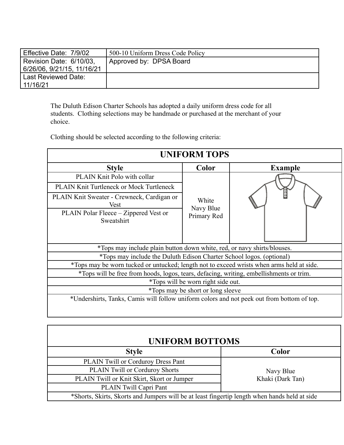| Effective Date: 7/9/02     | 500-10 Uniform Dress Code Policy |
|----------------------------|----------------------------------|
| Revision Date: 6/10/03,    | Approved by: DPSA Board          |
| 6/26/06, 9/21/15, 11/16/21 |                                  |
| Last Reviewed Date:        |                                  |
| 11/16/21                   |                                  |

The Duluth Edison Charter Schools has adopted a daily uniform dress code for all students. Clothing selections may be handmade or purchased at the merchant of your choice.

Clothing should be selected according to the following criteria:

| <b>UNIFORM TOPS</b>                                                                        |                                   |                |  |  |
|--------------------------------------------------------------------------------------------|-----------------------------------|----------------|--|--|
| <b>Style</b>                                                                               | Color                             | <b>Example</b> |  |  |
| PLAIN Knit Polo with collar                                                                | White                             |                |  |  |
| <b>PLAIN Knit Turtleneck or Mock Turtleneck</b>                                            |                                   |                |  |  |
| PLAIN Knit Sweater - Crewneck, Cardigan or<br>Vest                                         |                                   |                |  |  |
| PLAIN Polar Fleece – Zippered Vest or<br>Sweatshirt                                        | Navy Blue<br>Primary Red          |                |  |  |
|                                                                                            |                                   |                |  |  |
| *Tops may include plain button down white, red, or navy shirts/blouses.                    |                                   |                |  |  |
| *Tops may include the Duluth Edison Charter School logos. (optional)                       |                                   |                |  |  |
| *Tops may be worn tucked or untucked; length not to exceed wrists when arms held at side.  |                                   |                |  |  |
| *Tops will be free from hoods, logos, tears, defacing, writing, embellishments or trim.    |                                   |                |  |  |
| *Tops will be worn right side out.                                                         |                                   |                |  |  |
|                                                                                            | *Tops may be short or long sleeve |                |  |  |
| *Undershirts, Tanks, Camis will follow uniform colors and not peek out from bottom of top. |                                   |                |  |  |

| <b>UNIFORM BOTTOMS</b>                                                                        |                  |  |  |  |
|-----------------------------------------------------------------------------------------------|------------------|--|--|--|
| <b>Style</b>                                                                                  | Color            |  |  |  |
| PLAIN Twill or Corduroy Dress Pant                                                            |                  |  |  |  |
| <b>PLAIN Twill or Corduroy Shorts</b>                                                         | Navy Blue        |  |  |  |
| PLAIN Twill or Knit Skirt, Skort or Jumper                                                    | Khaki (Dark Tan) |  |  |  |
| PLAIN Twill Capri Pant                                                                        |                  |  |  |  |
| *Shorts, Skirts, Skorts and Jumpers will be at least fingertip length when hands held at side |                  |  |  |  |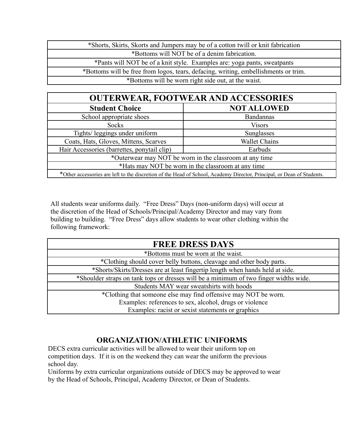| *Shorts, Skirts, Skorts and Jumpers may be of a cotton twill or knit fabrication    |
|-------------------------------------------------------------------------------------|
| *Bottoms will NOT be of a denim fabrication.                                        |
| *Pants will NOT be of a knit style. Examples are: yoga pants, sweatpants            |
| *Bottoms will be free from logos, tears, defacing, writing, embellishments or trim. |
| *Bottoms will be worn right side out, at the waist.                                 |

| <b>OUTERWEAR, FOOTWEAR AND ACCESSORIES</b>                                                                             |                      |  |  |  |  |
|------------------------------------------------------------------------------------------------------------------------|----------------------|--|--|--|--|
| <b>Student Choice</b>                                                                                                  | <b>NOT ALLOWED</b>   |  |  |  |  |
| School appropriate shoes                                                                                               | <b>Bandannas</b>     |  |  |  |  |
| <b>Socks</b>                                                                                                           | <b>Visors</b>        |  |  |  |  |
| Tights/ leggings under uniform                                                                                         | Sunglasses           |  |  |  |  |
| Coats, Hats, Gloves, Mittens, Scarves                                                                                  | <b>Wallet Chains</b> |  |  |  |  |
| Hair Accessories (barrettes, ponytail clip)                                                                            | Earbuds              |  |  |  |  |
| *Outerwear may NOT be worn in the classroom at any time                                                                |                      |  |  |  |  |
| *Hats may NOT be worn in the classroom at any time                                                                     |                      |  |  |  |  |
| *Other accessories are left to the discretion of the Head of School, Academy Director, Principal, or Dean of Students. |                      |  |  |  |  |

All students wear uniforms daily. "Free Dress" Days (non-uniform days) will occur at the discretion of the Head of Schools/Principal/Academy Director and may vary from building to building. "Free Dress" days allow students to wear other clothing within the following framework:

| <b>FREE DRESS DAYS</b>                                                                |  |  |  |
|---------------------------------------------------------------------------------------|--|--|--|
| *Bottoms must be worn at the waist.                                                   |  |  |  |
| *Clothing should cover belly buttons, cleavage and other body parts.                  |  |  |  |
| *Shorts/Skirts/Dresses are at least fingertip length when hands held at side.         |  |  |  |
| *Shoulder straps on tank tops or dresses will be a minimum of two finger widths wide. |  |  |  |
| Students MAY wear sweatshirts with hoods                                              |  |  |  |
| *Clothing that someone else may find offensive may NOT be worn.                       |  |  |  |
| Examples: references to sex, alcohol, drugs or violence                               |  |  |  |
| Examples: racist or sexist statements or graphics                                     |  |  |  |

# **ORGANIZATION/ATHLETIC UNIFORMS**

DECS extra curricular activities will be allowed to wear their uniform top on competition days. If it is on the weekend they can wear the uniform the previous school day.

Uniforms by extra curricular organizations outside of DECS may be approved to wear by the Head of Schools, Principal, Academy Director, or Dean of Students.